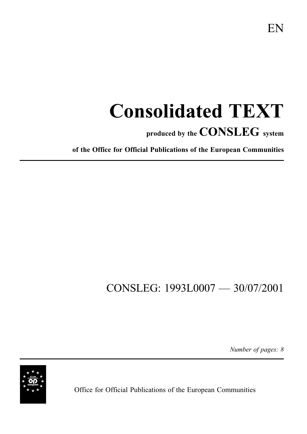# **Consolidated TEXT**

# **produced by the CONSLEG system**

**of the Office for Official Publications of the European Communities**

# CONSLEG: 1993L0007 — 30/07/2001

*Number of pages: 8*



< Office for Official Publications of the European Communities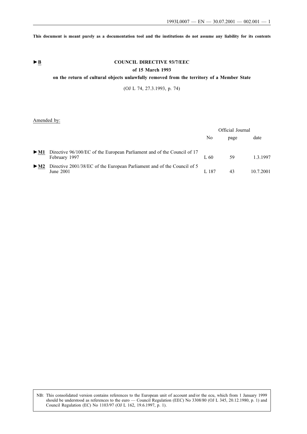**This document is meant purely as a documentation tool and the institutions do not assume any liability for its contents**

# ► **B** COUNCIL DIRECTIVE 93/7/EEC **of 15 March 1993**

# **on the return of cultural objects unlawfully removed from the territory of a Member State**

(OJ L 74, 27.3.1993, p. 74)

Amended by:

|        |                                                                                          |          | Official Journal |           |
|--------|------------------------------------------------------------------------------------------|----------|------------------|-----------|
|        |                                                                                          | No       | page             | date      |
| $>$ M1 | Directive 96/100/EC of the European Parliament and of the Council of 17<br>February 1997 | $L_{60}$ | 59               | 1.3.1997  |
| $>$ M2 | Directive 2001/38/EC of the European Parliament and of the Council of 5<br>June 2001     | L 187    | 43               | 10.7.2001 |

NB: This consolidated version contains references to the European unit of account and/or the ecu, which from 1 January 1999 should be understood as references to the euro — Council Regulation (EEC) No 3308/80 (OJ L 345, 20.12.1980, p. 1) and Council Regulation (EC) No 1103/97 (OJ L 162, 19.6.1997, p. 1).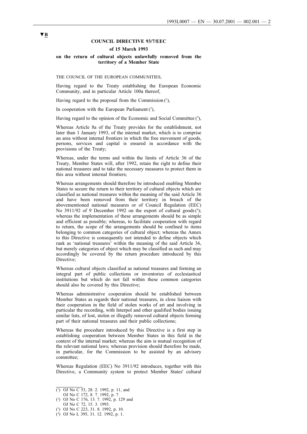#### **COUNCIL DIRECTIVE 93/7/EEC**

#### **of 15 March 1993**

#### **on the return of cultural objects unlawfully removed from the territory of a Member State**

THE COUNCIL OF THE EUROPEAN COMMUNITIES,

Having regard to the Treaty establishing the European Economic Community, and in particular Article 100a thereof,

Having regard to the proposal from the Commission $(1)$ ,

In cooperation with the European Parliament  $(2)$ ,

Having regard to the opinion of the Economic and Social Committee (3),

Whereas Article 8a of the Treaty provides for the establishment, not later than 1 January 1993, of the internal market, which is to comprise an area without internal frontiers in which the free movement of goods, persons, services and capital is ensured in accordance with the provisions of the Treaty;

Whereas, under the terms and within the limits of Article 36 of the Treaty, Member States will, after 1992, retain the right to define their national treasures and to take the necessary measures to protect them in this area without internal frontiers;

Whereas arrangements should therefore be introduced enabling Member States to secure the return to their territory of cultural objects which are classified as national treasures within the meaning of the said Article 36 and have been removed from their territory in breach of the abovementioned national measures or of Council Regulation (EEC) No 3911/92 of 9 December 1992 on the export of cultural goods (4); whereas the implementation of these arrangements should be as simple and efficient as possible; whereas, to facilitate cooperation with regard to return, the scope of the arrangements should be confined to items belonging to common categories of cultural object; whereas the Annex to this Directive is consequently not intended to define objects which rank as 'national treasures' within the meaning of the said Article 36, but merely categories of object which may be classified as such and may accordingly be covered by the return procedure introduced by this Directive:

Whereas cultural objects classified as national treasures and forming an integral part of public collections or inventories of ecclesiastical institutions but which do not fall within these common categories should also be covered by this Directive;

Whereas administrative cooperation should be established between Member States as regards their national treasures, in close liaison with their cooperation in the field of stolen works of art and involving in particular the recording, with Interpol and other qualified bodies issuing similar lists, of lost, stolen or illegally removed cultural objects forming part of their national treasures and their public collections;

Whereas the procedure introduced by this Directive is a first step in establishing cooperation between Member States in this field in the context of the internal market; whereas the aim is mutual recognition of the relevant national laws; whereas provision should therefore be made, in particular, for the Commission to be assisted by an advisory committee;

Whereas Regulation (EEC) No 3911/92 introduces, together with this Directive, a Community system to protect Member States' cultural

- OJ NoC 172, 8. 7. 1992, p. 7.
- ( 2 ) OJ NoC 176, 13. 7. 1992, p. 129 and OJ NoC 72, 15. 3. 1993.
- ( 3 ) OJ NoC 223, 31. 8. 1992, p. 10.
- ( 4 ) OJ NoL 395, 31. 12. 1992, p. 1.

<sup>(</sup> 1 ) OJ NoC 53, 28. 2. 1992, p. 11, and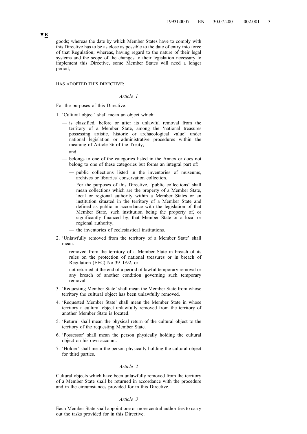goods; whereas the date by which Member States have to comply with this Directive has to be as close as possible to the date of entry into force of that Regulation; whereas, having regard to the nature of their legal systems and the scope of the changes to their legislation necessary to implement this Directive, some Member States will need a longer period,

HAS ADOPTED THIS DIRECTIVE:

#### *Article 1*

For the purposes of this Directive:

1. 'Cultural object' shall mean an object which:

- is classified, before or after its unlawful removal from the territory of a Member State, among the 'national treasures possessing artistic, historic or archaeological value' under national legislation or administrative procedures within the meaning of Article 36 of the Treaty,
	- and
- belongs to one of the categories listed in the Annex or does not belong to one of these categories but forms an integral part of:
	- public collections listed in the inventories of museums, archives or libraries' conservation collection.

For the purposes of this Directive, 'public collections' shall mean collections which are the property of a Member State, local or regional authority within a Member States or an institution situated in the territory of a Member State and defined as public in accordance with the legislation of that Member State, such institution being the property of, or significantly financed by, that Member State or a local or regional authority;

- the inventories of ecclesiastical institutions.
- 2. 'Unlawfully removed from the territory of a Member State' shall mean:
	- removed from the territory of a Member State in breach of its rules on the protection of national treasures or in breach of Regulation (EEC) No 3911/92, or
	- not returned at the end of a period of lawful temporary removal or any breach of another condition governing such temporary removal.
- 3. 'Requesting Member State' shall mean the Member State from whose territory the cultural object has been unlawfully removed.
- 4. 'Requested Member State' shall mean the Member State in whose territory a cultural object unlawfully removed from the territory of another Member State is located.
- 5. 'Return' shall mean the physical return of the cultural object to the territory of the requesting Member State.
- 6. 'Possessor' shall mean the person physically holding the cultural object on his own account.
- 7. 'Holder' shall mean the person physically holding the cultural object for third parties.

#### *Article 2*

Cultural objects which have been unlawfully removed from the territory of a Member State shall be returned in accordance with the procedure and in the circumstances provided for in this Directive.

#### *Article 3*

Each Member State shall appoint one or more central authorities to carry out the tasks provided for in this Directive.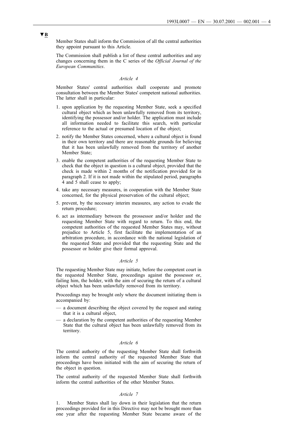Member States shall inform the Commission of all the central authorities they appoint pursuant to this Article.

The Commission shall publish a list of these central authorities and any changes concerning them in the C series of the *Official Journal of the European Communities*.

#### *Article 4*

Member States' central authorities shall cooperate and promote consultation between the Member States' competent national authorities. The latter shall in particular:

- 1. upon application by the requesting Member State, seek a specified cultural object which as been unlawfully removed from its territory, identifying the possessor and/or holder. The application must include all information needed to facilitate this search, with particular reference to the actual or presumed location of the object;
- 2. notify the Member States concerned, where a cultural object is found in their own territory and there are reasonable grounds for believing that it has been unlawfully removed from the territory of another Member State;
- 3. enable the competent authorities of the requesting Member State to check that the object in question is a cultural object, provided that the check is made within 2 months of the notification provided for in paragraph 2. If it is not made within the stipulated period, paragraphs 4 and 5 shall cease to apply;
- 4. take any necessary measures, in cooperation with the Member State concerned, for the physical preservation of the cultural object;
- 5. prevent, by the necessary interim measures, any action to evade the return procedure;
- 6. act as intermediary between the prossessor and/or holder and the requesting Member State with regard to return. To this end, the competent authorities of the requested Member States may, without prejudice to Article 5, first facilitate the implementation of an arbitration procedure, in accordance with the national legislation of the requested State and provided that the requesting State and the possessor or holder give their formal approval.

#### *Article 5*

The requesting Member State may initiate, before the competent court in the requested Member State, proceedings against the possessor or, failing him, the holder, with the aim of securing the return of a cultural object which has been unlawfully removed from its territory.

Proceedings may be brought only where the document initiating them is accompanied by:

- a document describing the object covered by the request and stating that it is a cultural object,
- a declaration by the competent authorities of the requesting Member State that the cultural object has been unlawfully removed from its territory.

#### *Article 6*

The central authority of the requesting Member State shall forthwith inform the central authority of the requested Member State that proceedings have been initiated with the aim of securing the return of the object in question.

The central authority of the requested Member State shall forthwith inform the central authorities of the other Member States.

#### *Article 7*

1. Member States shall lay down in their legislation that the return proceedings provided for in this Directive may not be brought more than one year after the requesting Member State became aware of the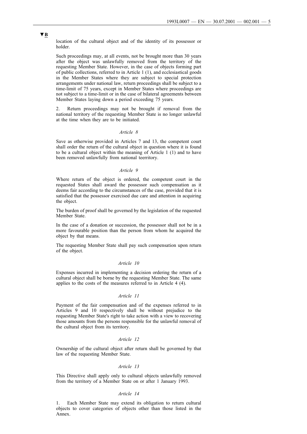location of the cultural object and of the identity of its possessor or holder.

Such proceedings may, at all events, not be brought more than 30 years after the object was unlawfully removed from the territory of the requesting Member State. However, in the case of objects forming part of public collections, referred to in Article 1 (1), and ecclesiastical goods in the Member States where they are subject to special protection arrangements under national law, return proceedings shall be subject to a time-limit of 75 years, except in Member States where proceedings are not subject to a time-limit or in the case of bilateral agreements between Member States laying down a period exceeding 75 years.

2. Return proceedings may not be brought if removal from the national territory of the requesting Member State is no longer unlawful at the time when they are tobe initiated.

#### *Article 8*

Save as otherwise provided in Articles 7 and 13, the competent court shall order the return of the cultural object in question where it is found to be a cultural object within the meaning of Article 1 (1) and to have been removed unlawfully from national teerritory.

#### *Article 9*

Where return of the object is ordered, the competent court in the requested States shall award the possessor such compensation as it deems fair according to the circumstances of the case, provided that it is satisfied that the possessor exercised due care and attention in acquiring the object.

The burden of proof shall be governed by the legislation of the requested Member State.

In the case of a donation or succession, the possessor shall not be in a more favourable position than the person from whom he acquired the object by that means.

The requesting Member State shall pay such compensation upon return of the object.

#### *Article 10*

Expenses incurred in implementing a decision ordering the return of a cultural object shall be borne by the requesting Member State. The same applies to the costs of the measures referred to in Article 4 (4).

#### *Article 11*

Payment of the fair compensation and of the expenses referred to in Articles 9 and 10 respectively shall be without prejudice to the requesting Member State's right to take action with a view to recovering those amounts from the persons responsible for the unlawful removal of the cultural object from its territory.

#### *Article 12*

Ownership of the cultural object after return shall be governed by that law of the requesting Member State.

#### *Article 13*

This Directive shall apply only to cultural objects unlawfully removed from the territory of a Member State on or after 1 January 1993.

#### *Article 14*

1. Each Member State may extend its obligation to return cultural objects to cover categories of objects other than those listed in the Annex.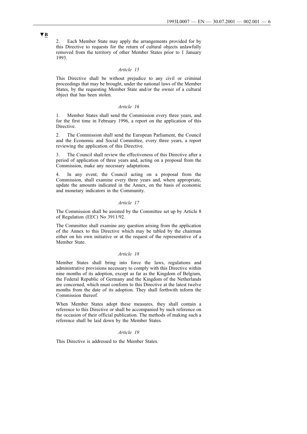2. Each Member State may apply the arrangements provided for by this Directive to requests for the return of cultural objects unlawfully removed from the territory of other Member States prior to 1 January 1993.

#### *Article 15*

This Directive shall be without prejudice to any civil or criminal proceedings that may be brought, under the national laws of the Member States, by the requesting Member State and/or the owner of a cultural object that has been stolen.

#### *Article 16*

1. Member States shall send the Commission every three years, and for the first time in February 1996, a report on the application of this **Directive** 

2. The Commission shall send the European Parliament, the Council and the Economic and Social Committee, every three years, a report reviewing the application of this Directive.

3. The Council shall review the effectiveness of this Directive after a period of application of three years and, acting on a proposal from the Commission, make any necessary adaptations.

4. In any event, the Council acting on a proposal from the Commission, shall examine every three years and, where appropriate, update the amounts indicated in the Annex, on the basis of economic and monetary indicators in the Community.

#### *Article 17*

The Commission shall be assisted by the Committee set up by Article 8 of Regulation (EEC) No 3911/92.

The Committee shall examine any question arising from the application of the Annex to this Directive which may be tabled by the chairman either on his own initiative or at the request of the representative of a Member State.

#### *Article 18*

Member States shall bring into force the laws, regulations and administrative provisions necessary to comply with this Directive within nine months of its adoption, except as far as the Kingdom of Belgium, the Federal Republic of Germany and the Kingdom of the Netherlands are concerned, which must conform to this Directive at the latest twelve months from the date of its adoption. They shall forthwith inform the Commission thereof.

When Member States adopt these measures, they shall contain a reference to this Directive or shall be accompanied by such reference on the occasion of their official publication. The methods of making such a reference shall be laid down by the Member States.

#### *Article 19*

This Directive is addressed to the Member States.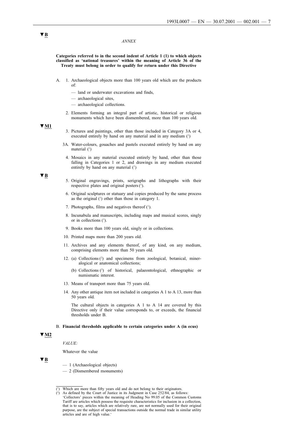#### *ANNEX*

**Categories referred to in the second indent of Article 1 (1) to which objects classified as 'national treasures' within the meaning of Article 36 of the Treaty must belong in order to qualify for return under this Directive**

- A. 1. Archaeological objects more than 100 years old which are the products of:
	- land or underwater excavations and finds,
	- archaeological sites,
	- archaeological collections.
	- 2. Elements forming an integral part of artistic, historical or religious monuments which have been dismembered, more than 100 years old.

### ▼**M1**

▼**B**

- 3. Pictures and paintings, other than those included in Category 3A or 4, executed entirely by hand on any material and in any medium (1)
- 3A. Water-colours, gouaches and pastels executed entirely by hand on any material (1)
	- 4. Mosaics in any material executed entirely by hand, other than those falling in Categories 1 or 2, and drawings in any medium executed entirely by hand on any material  $(1)$

5. Original engravings, prints, serigraphs and lithographs with their respective plates and original posters  $(1)$ .

- 6. Original sculptures or statuary and copies produced by the same process as the original  $(1)$  other than those in category 1.
- 7. Photographs, films and negatives thereof  $(1)$ .
- 8. Incunabula and manuscripts, including maps and musical scores, singly or in collections  $(1)$ .
- 9. Books more than 100 years old, singly or in collections.
- 10. Printed maps more than 200 years old.
- 11. Archives and any elements thereof, of any kind, on any medium, comprising elements more than 50 years old.
- 12. (a) Collections (2) and specimens from zoological, botanical, mineralogical or anatomical collections;
	- (b) Collections (2 ) of historical, palaeontological, ethnographic or numismatic interest.
- 13. Means of transport more than 75 years old.
- 14. Any other antique item not included in categories A 1 to A 13, more than 50 years old.

The cultural objects in categories A 1 to A 14 are covered by this Directive only if their value corresponds to, or exceeds, the financial thresholds under B.

#### B. **Financial thresholds applicable to certain categories under A (in ecus)**

# ▼**M2**

# *VALUE:*

Whatever the value

- ▼**B**
- 1 (Archaeological objects)
- 2 (Dismembered monuments)

<sup>(</sup> 1 ) Which are more than fifty years old and do not belong to their originators.

<sup>(</sup> 2 ) As defined by the Court of Justice in its Judgment in Case 252/84, as follows: 'Collectors' pieces within the meaning of Heading No 99.05 of the Common Customs Tariff are articles which possess the requisite characteristics for inclusion in a collection, that is to say, articles which are relatively rare, are not normally used for their original purpose, are the subject of special transactions outside the normal trade in similar utility articles and are of high value.'